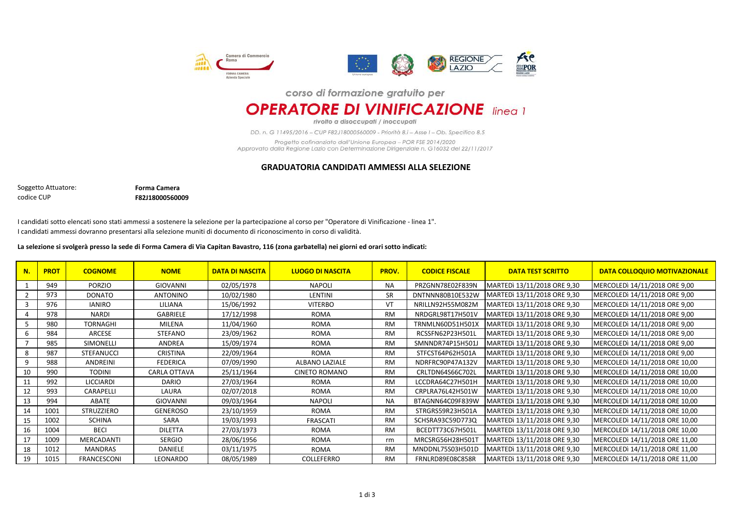

## corso di formazione gratuito per

**OPERATORE DI VINIFICAZIONE** linea 1

rivolto a disoccupati / inoccupati

DD. n. G 11495/2016 - CUP F82J18000560009 - Priorità 8.i - Asse I - Ob. Specifico 8.5

Progetto cofinanziato dall'Unione Europea - POR FSE 2014/2020 Approvato dalla Regione Lazio con Determinazione Dirigenziale n. G16032 del 22/11/2017

## **GRADUATORIA CANDIDATI AMMESSI ALLA SELEZIONE**

codice CUP Soggetto Attuatore: **Forma Camera F82J18000560009**

I candidati sotto elencati sono stati ammessi a sostenere la selezione per la partecipazione al corso per "Operatore di Vinificazione - linea 1". I candidati ammessi dovranno presentarsi alla selezione muniti di documento di riconoscimento in corso di validità.

## **La selezione si svolgerà presso la sede di Forma Camera di Via Capitan Bavastro, 116 (zona garbatella) nei giorni ed orari sotto indicati:**

| N. | <b>PROT</b> | <b>COGNOME</b>    | <b>NOME</b>         | <b>DATA DI NASCITA</b> | <b>LUOGO DI NASCITA</b> | <b>PROV.</b> | <b>CODICE FISCALE</b> | <b>DATA TEST SCRITTO</b>    | DATA COLLOQUIO MOTIVAZIONALE   |
|----|-------------|-------------------|---------------------|------------------------|-------------------------|--------------|-----------------------|-----------------------------|--------------------------------|
|    | 949         | <b>PORZIO</b>     | GIOVANNI            | 02/05/1978             | <b>NAPOLI</b>           | <b>NA</b>    | PRZGNN78E02F839N      | MARTEDI 13/11/2018 ORE 9,30 | MERCOLEDI 14/11/2018 ORE 9,00  |
|    | 973         | <b>DONATO</b>     | ANTONINO            | 10/02/1980             | LENTINI                 | <b>SR</b>    | DNTNNN80B10E532W      | MARTEDI 13/11/2018 ORE 9,30 | MERCOLEDI 14/11/2018 ORE 9,00  |
|    | 976         | <b>IANIRO</b>     | LILIANA             | 15/06/1992             | <b>VITERBO</b>          | VT           | NRILLN92H55M082M      | MARTEDì 13/11/2018 ORE 9,30 | MERCOLEDI 14/11/2018 ORE 9,00  |
|    | 978         | <b>NARDI</b>      | GABRIELE            | 17/12/1998             | ROMA                    | <b>RM</b>    | NRDGRL98T17H501V      | MARTEDI 13/11/2018 ORE 9,30 | MERCOLEDI 14/11/2018 ORE 9,00  |
|    | 980         | <b>TORNAGHI</b>   | MILENA              | 11/04/1960             | ROMA                    | <b>RM</b>    | TRNMLN60D51H501X      | MARTEDI 13/11/2018 ORE 9,30 | MERCOLEDI 14/11/2018 ORE 9,00  |
|    | 984         | ARCESE            | <b>STEFANO</b>      | 23/09/1962             | <b>ROMA</b>             | <b>RM</b>    | RCSSFN62P23H501L      | MARTEDI 13/11/2018 ORE 9,30 | MERCOLEDI 14/11/2018 ORE 9,00  |
|    | 985         | <b>SIMONELLI</b>  | ANDREA              | 15/09/1974             | ROMA                    | <b>RM</b>    | SMNNDR74P15H501J      | MARTEDI 13/11/2018 ORE 9,30 | MERCOLEDì 14/11/2018 ORE 9,00  |
| 8  | 987         | <b>STEFANUCCI</b> | CRISTINA            | 22/09/1964             | ROMA                    | <b>RM</b>    | STFCST64P62H501A      | MARTEDI 13/11/2018 ORE 9,30 | MERCOLEDI 14/11/2018 ORE 9,00  |
| 9  | 988         | ANDREINI          | FEDERICA            | 07/09/1990             | ALBANO LAZIALE          | <b>RM</b>    | NDRFRC90P47A132V      | MARTEDI 13/11/2018 ORE 9,30 | MERCOLEDI 14/11/2018 ORE 10,00 |
| 10 | 990         | <b>TODINI</b>     | <b>CARLA OTTAVA</b> | 25/11/1964             | <b>CINETO ROMANO</b>    | <b>RM</b>    | CRLTDN64S66C702L      | MARTEDI 13/11/2018 ORE 9,30 | MERCOLEDI 14/11/2018 ORE 10,00 |
| 11 | 992         | <b>LICCIARDI</b>  | <b>DARIO</b>        | 27/03/1964             | ROMA                    | RM           | LCCDRA64C27H501H      | MARTEDI 13/11/2018 ORE 9,30 | MERCOLEDI 14/11/2018 ORE 10,00 |
| 12 | 993         | CARAPELLI         | LAURA               | 02/07/2018             | ROMA                    | <b>RM</b>    | CRPLRA76L42H501W      | MARTEDI 13/11/2018 ORE 9,30 | MERCOLEDI 14/11/2018 ORE 10,00 |
| 13 | 994         | ABATE             | <b>GIOVANNI</b>     | 09/03/1964             | <b>NAPOLI</b>           | <b>NA</b>    | BTAGNN64C09F839W      | MARTEDI 13/11/2018 ORE 9,30 | MERCOLEDI 14/11/2018 ORE 10,00 |
| 14 | 1001        | <b>STRUZZIERO</b> | <b>GENEROSO</b>     | 23/10/1959             | ROMA                    | <b>RM</b>    | STRGRS59R23H501A      | MARTEDI 13/11/2018 ORE 9,30 | MERCOLEDI 14/11/2018 ORE 10,00 |
| 15 | 1002        | <b>SCHINA</b>     | SARA                | 19/03/1993             | <b>FRASCATI</b>         | <b>RM</b>    | SCHSRA93C59D773Q      | MARTEDI 13/11/2018 ORE 9,30 | MERCOLEDI 14/11/2018 ORE 10,00 |
| 16 | 1004        | <b>BECI</b>       | <b>DILETTA</b>      | 27/03/1973             | ROMA                    | <b>RM</b>    | BCEDTT73C67H501L      | MARTEDI 13/11/2018 ORE 9,30 | MERCOLEDI 14/11/2018 ORE 10,00 |
| 17 | 1009        | MERCADANTI        | SERGIO              | 28/06/1956             | <b>ROMA</b>             | rm           | MRCSRG56H28H501T      | MARTEDI 13/11/2018 ORE 9,30 | MERCOLEDI 14/11/2018 ORE 11,00 |
| 18 | 1012        | MANDRAS           | DANIELE             | 03/11/1975             | ROMA                    | <b>RM</b>    | MNDDNL75S03H501D      | MARTEDì 13/11/2018 ORE 9,30 | MERCOLEDI 14/11/2018 ORE 11,00 |
| 19 | 1015        | FRANCESCONI       | LEONARDO            | 08/05/1989             | COLLEFERRO              | <b>RM</b>    | FRNLRD89E08C858R      | MARTEDI 13/11/2018 ORE 9,30 | MERCOLEDI 14/11/2018 ORE 11,00 |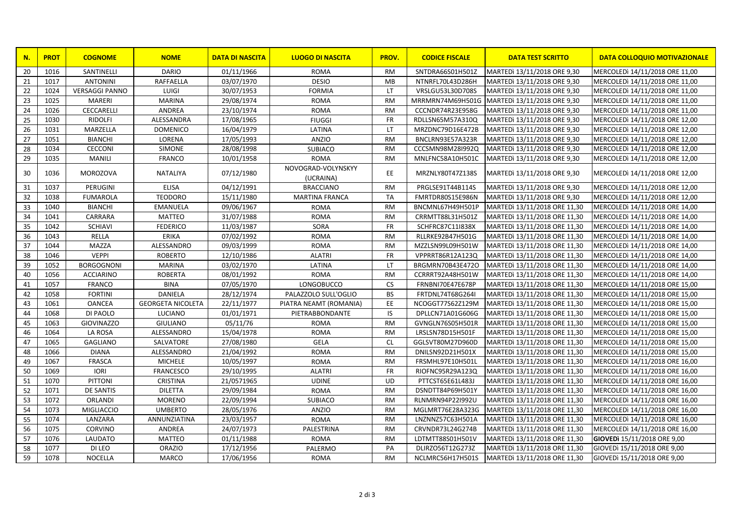| N. | <b>PROT</b> | <b>COGNOME</b>        | <b>NOME</b>              | <b>DATA DI NASCITA</b> | <b>LUOGO DI NASCITA</b>         | PROV.     | <b>CODICE FISCALE</b> | <b>DATA TEST SCRITTO</b>     | <b>DATA COLLOQUIO MOTIVAZIONALE</b> |
|----|-------------|-----------------------|--------------------------|------------------------|---------------------------------|-----------|-----------------------|------------------------------|-------------------------------------|
| 20 | 1016        | SANTINELLI            | <b>DARIO</b>             | 01/11/1966             | <b>ROMA</b>                     | RM        | SNTDRA66S01H501Z      | MARTEDI 13/11/2018 ORE 9,30  | MERCOLEDI 14/11/2018 ORE 11,00      |
| 21 | 1017        | <b>ANTONINI</b>       | <b>RAFFAELLA</b>         | 03/07/1970             | <b>DESIO</b>                    | MB        | NTNRFL70L43D286H      | MARTEDI 13/11/2018 ORE 9,30  | MERCOLEDI 14/11/2018 ORE 11,00      |
| 22 | 1024        | <b>VERSAGGI PANNO</b> | LUIGI                    | 30/07/1953             | <b>FORMIA</b>                   | <b>LT</b> | VRSLGU53L30D708S      | MARTEDI 13/11/2018 ORE 9,30  | MERCOLEDI 14/11/2018 ORE 11,00      |
| 23 | 1025        | <b>MARERI</b>         | <b>MARINA</b>            | 29/08/1974             | <b>ROMA</b>                     | <b>RM</b> | MRRMRN74M69H501G      | MARTEDI 13/11/2018 ORE 9,30  | MERCOLEDI 14/11/2018 ORE 11,00      |
| 24 | 1026        | CECCARELLI            | ANDREA                   | 23/10/1974             | <b>ROMA</b>                     | <b>RM</b> | CCCNDR74R23E958G      | MARTEDI 13/11/2018 ORE 9,30  | MERCOLEDI 14/11/2018 ORE 11,00      |
| 25 | 1030        | <b>RIDOLFI</b>        | ALESSANDRA               | 17/08/1965             | <b>FIUGGI</b>                   | <b>FR</b> | RDLLSN65M57A310Q      | MARTEDI 13/11/2018 ORE 9,30  | MERCOLEDI 14/11/2018 ORE 12,00      |
| 26 | 1031        | MARZELLA              | <b>DOMENICO</b>          | 16/04/1979             | LATINA                          | <b>LT</b> | MRZDNC79D16E472B      | MARTEDI 13/11/2018 ORE 9,30  | MERCOLEDI 14/11/2018 ORE 12,00      |
| 27 | 1051        | <b>BIANCHI</b>        | LORENA                   | 17/05/1993             | <b>ANZIO</b>                    | <b>RM</b> | BNCLRN93E57A323R      | MARTEDI 13/11/2018 ORE 9,30  | MERCOLEDI 14/11/2018 ORE 12,00      |
| 28 | 1034        | <b>CECCONI</b>        | SIMONE                   | 28/08/1998             | <b>SUBIACO</b>                  | <b>RM</b> | CCCSMN98M28I992Q      | MARTEDI 13/11/2018 ORE 9,30  | MERCOLEDI 14/11/2018 ORE 12,00      |
| 29 | 1035        | <b>MANILI</b>         | <b>FRANCO</b>            | 10/01/1958             | <b>ROMA</b>                     | <b>RM</b> | MNLFNC58A10H501C      | MARTEDI 13/11/2018 ORE 9,30  | MERCOLEDI 14/11/2018 ORE 12,00      |
| 30 | 1036        | <b>MOROZOVA</b>       | NATALIYA                 | 07/12/1980             | NOVOGRAD-VOLYNSKYY<br>(UCRAINA) | EE.       | MRZNLY80T47Z138S      | MARTEDI 13/11/2018 ORE 9,30  | MERCOLEDI 14/11/2018 ORE 12,00      |
| 31 | 1037        | PERUGINI              | <b>ELISA</b>             | 04/12/1991             | <b>BRACCIANO</b>                | <b>RM</b> | PRGLSE91T44B114S      | MARTEDI 13/11/2018 ORE 9,30  | MERCOLEDI 14/11/2018 ORE 12,00      |
| 32 | 1038        | <b>FUMAROLA</b>       | <b>TEODORO</b>           | 15/11/1980             | <b>MARTINA FRANCA</b>           | <b>TA</b> | FMRTDR80S15E986N      | MARTEDI 13/11/2018 ORE 9,30  | MERCOLEDI 14/11/2018 ORE 12,00      |
| 33 | 1040        | <b>BIANCHI</b>        | <b>EMANUELA</b>          | 09/06/1967             | <b>ROMA</b>                     | <b>RM</b> | BNCMNL67H49H501P      | MARTEDI 13/11/2018 ORE 11,30 | MERCOLEDI 14/11/2018 ORE 14,00      |
| 34 | 1041        | CARRARA               | <b>MATTEO</b>            | 31/07/1988             | <b>ROMA</b>                     | <b>RM</b> | CRRMTT88L31H501Z      | MARTEDI 13/11/2018 ORE 11,30 | MERCOLEDI 14/11/2018 ORE 14,00      |
| 35 | 1042        | <b>SCHIAVI</b>        | <b>FEDERICO</b>          | 11/03/1987             | SORA                            | <b>FR</b> | SCHFRC87C11I838X      | MARTEDI 13/11/2018 ORE 11,30 | MERCOLEDI 14/11/2018 ORE 14,00      |
| 36 | 1043        | <b>RELLA</b>          | <b>ERIKA</b>             | 07/02/1992             | <b>ROMA</b>                     | <b>RM</b> | RLLRKE92B47H501G      | MARTEDI 13/11/2018 ORE 11,30 | MERCOLEDI 14/11/2018 ORE 14,00      |
| 37 | 1044        | <b>MAZZA</b>          | ALESSANDRO               | 09/03/1999             | <b>ROMA</b>                     | <b>RM</b> | MZZLSN99L09H501W      | MARTEDI 13/11/2018 ORE 11,30 | MERCOLEDI 14/11/2018 ORE 14,00      |
| 38 | 1046        | <b>VEPPI</b>          | <b>ROBERTO</b>           | 12/10/1986             | <b>ALATRI</b>                   | <b>FR</b> | VPPRRT86R12A123Q      | MARTEDI 13/11/2018 ORE 11,30 | MERCOLEDI 14/11/2018 ORE 14,00      |
| 39 | 1052        | <b>BORGOGNONI</b>     | <b>MARINA</b>            | 03/02/1970             | LATINA                          | <b>LT</b> | BRGMRN70B43E472O      | MARTEDI 13/11/2018 ORE 11,30 | MERCOLEDI 14/11/2018 ORE 14,00      |
| 40 | 1056        | <b>ACCIARINO</b>      | <b>ROBERTA</b>           | 08/01/1992             | <b>ROMA</b>                     | <b>RM</b> | CCRRRT92A48H501W      | MARTEDI 13/11/2018 ORE 11,30 | MERCOLEDI 14/11/2018 ORE 14,00      |
| 41 | 1057        | <b>FRANCO</b>         | <b>BINA</b>              | 07/05/1970             | LONGOBUCCO                      | <b>CS</b> | FRNBNI70E47E678P      | MARTEDI 13/11/2018 ORE 11,30 | MERCOLEDI 14/11/2018 ORE 15,00      |
| 42 | 1058        | <b>FORTINI</b>        | <b>DANIELA</b>           | 28/12/1974             | PALAZZOLO SULL'OGLIO            | <b>BS</b> | FRTDNL74T68G264I      | MARTEDI 13/11/2018 ORE 11,30 | MERCOLEDI 14/11/2018 ORE 15,00      |
| 43 | 1061        | <b>OANCEA</b>         | <b>GEORGETA NICOLETA</b> | 22/11/1977             | PIATRA NEAMT (ROMANIA)          | EE.       | NCOGGT77S62Z129M      | MARTEDI 13/11/2018 ORE 11,30 | MERCOLEDI 14/11/2018 ORE 15,00      |
| 44 | 1068        | DI PAOLO              | LUCIANO                  | 01/01/1971             | PIETRABBONDANTE                 | IS        | DPLLCN71A01G606G      | MARTEDI 13/11/2018 ORE 11,30 | MERCOLEDI 14/11/2018 ORE 15,00      |
| 45 | 1063        | <b>GIOVINAZZO</b>     | <b>GIULIANO</b>          | 05/11/76               | <b>ROMA</b>                     | <b>RM</b> | GVNGLN76S05H501R      | MARTEDI 13/11/2018 ORE 11,30 | MERCOLEDI 14/11/2018 ORE 15,00      |
| 46 | 1064        | LA ROSA               | ALESSANDRO               | 15/04/1978             | <b>ROMA</b>                     | <b>RM</b> | LRSLSN78D15H501F      | MARTEDI 13/11/2018 ORE 11,30 | MERCOLEDI 14/11/2018 ORE 15,00      |
| 47 | 1065        | <b>GAGLIANO</b>       | SALVATORE                | 27/08/1980             | <b>GELA</b>                     | <b>CL</b> | GGLSVT80M27D960D      | MARTEDI 13/11/2018 ORE 11,30 | MERCOLEDI 14/11/2018 ORE 15,00      |
| 48 | 1066        | <b>DIANA</b>          | ALESSANDRO               | 21/04/1992             | <b>ROMA</b>                     | <b>RM</b> | DNILSN92D21H501X      | MARTEDI 13/11/2018 ORE 11,30 | MERCOLEDI 14/11/2018 ORE 15,00      |
| 49 | 1067        | <b>FRASCA</b>         | <b>MICHELE</b>           | 10/05/1997             | <b>ROMA</b>                     | <b>RM</b> | FRSMHL97E10H501L      | MARTEDI 13/11/2018 ORE 11,30 | MERCOLEDI 14/11/2018 ORE 16,00      |
| 50 | 1069        | <b>IORI</b>           | <b>FRANCESCO</b>         | 29/10/1995             | <b>ALATRI</b>                   | <b>FR</b> | RIOFNC95R29A123Q      | MARTEDI 13/11/2018 ORE 11,30 | MERCOLEDI 14/11/2018 ORE 16,00      |
| 51 | 1070        | <b>PITTONI</b>        | <b>CRISTINA</b>          | 21/0571965             | <b>UDINE</b>                    | <b>UD</b> | PTTCST65E61L483J      | MARTEDI 13/11/2018 ORE 11,30 | MERCOLEDI 14/11/2018 ORE 16,00      |
| 52 | 1071        | <b>DE SANTIS</b>      | <b>DILETTA</b>           | 29/09/1984             | <b>ROMA</b>                     | <b>RM</b> | DSNDTT84P69H501Y      | MARTEDI 13/11/2018 ORE 11,30 | MERCOLEDI 14/11/2018 ORE 16,00      |
| 53 | 1072        | ORLANDI               | <b>MORENO</b>            | 22/09/1994             | <b>SUBIACO</b>                  | <b>RM</b> | RLNMRN94P22I992U      | MARTEDI 13/11/2018 ORE 11,30 | MERCOLEDI 14/11/2018 ORE 16,00      |
| 54 | 1073        | MIGLIACCIO            | <b>UMBERTO</b>           | 28/05/1976             | ANZIO                           | <b>RM</b> | MGLMRT76E28A323G      | MARTEDI 13/11/2018 ORE 11,30 | MERCOLEDI 14/11/2018 ORE 16,00      |
| 55 | 1074        | LANZARA               | ANNUNZIATINA             | 23/03/1957             | <b>ROMA</b>                     | <b>RM</b> | LNZNNZ57C63H501A      | MARTEDI 13/11/2018 ORE 11,30 | MERCOLEDI 14/11/2018 ORE 16,00      |
| 56 | 1075        | <b>CORVINO</b>        | ANDREA                   | 24/07/1973             | PALESTRINA                      | <b>RM</b> | CRVNDR73L24G274B      | MARTEDI 13/11/2018 ORE 11,30 | MERCOLEDI 14/11/2018 ORE 16,00      |
| 57 | 1076        | LAUDATO               | MATTEO                   | 01/11/1988             | <b>ROMA</b>                     | <b>RM</b> | LDTMTT88S01H501V      | MARTEDI 13/11/2018 ORE 11,30 | GIOVEDI 15/11/2018 ORE 9,00         |
| 58 | 1077        | DI LEO                | <b>ORAZIO</b>            | 17/12/1956             | PALERMO                         | PA        | DLIRZO56T12G273Z      | MARTEDI 13/11/2018 ORE 11,30 | GIOVEDI 15/11/2018 ORE 9,00         |
| 59 | 1078        | <b>NOCELLA</b>        | <b>MARCO</b>             | 17/06/1956             | <b>ROMA</b>                     | <b>RM</b> | NCLMRC56H17H501S      | MARTEDI 13/11/2018 ORE 11,30 | GIOVEDI 15/11/2018 ORE 9,00         |